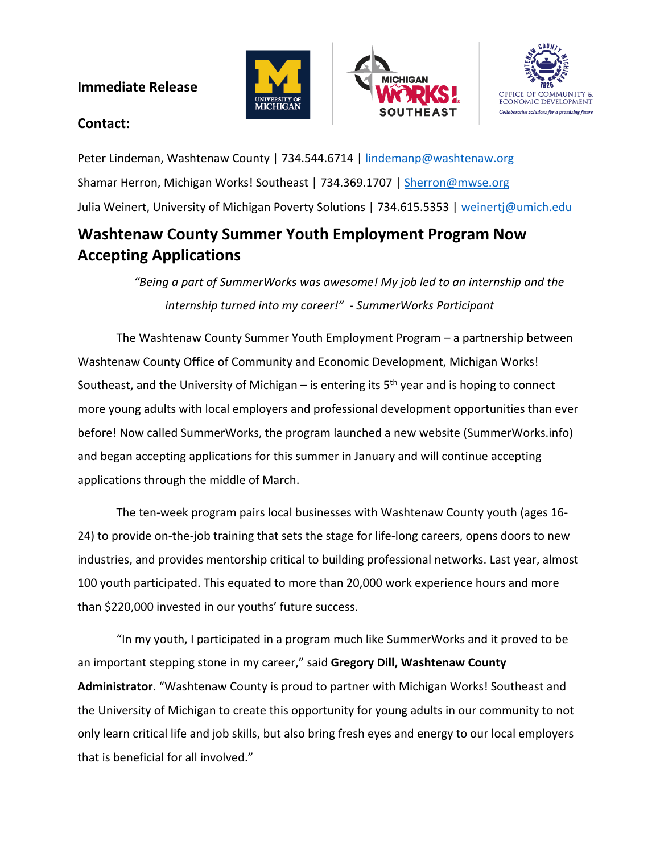## **Immediate Release**







## **Contact:**

Peter Lindeman, Washtenaw County | 734.544.6714 | [lindemanp@washtenaw.org](mailto:lindemanp@washtenaw.org) Shamar Herron, Michigan Works! Southeast | 734.369.1707 | [Sherron@mwse.org](mailto:Sherron@mwse.org) Julia Weinert, University of Michigan Poverty Solutions | 734.615.5353 | [weinertj@umich.edu](mailto:weinertj@umich.edu)

## **Washtenaw County Summer Youth Employment Program Now Accepting Applications**

*"Being a part of SummerWorks was awesome! My job led to an internship and the internship turned into my career!" - SummerWorks Participant*

The Washtenaw County Summer Youth Employment Program – a partnership between Washtenaw County Office of Community and Economic Development, Michigan Works! Southeast, and the University of Michigan – is entering its  $5<sup>th</sup>$  year and is hoping to connect more young adults with local employers and professional development opportunities than ever before! Now called SummerWorks, the program launched a new website (SummerWorks.info) and began accepting applications for this summer in January and will continue accepting applications through the middle of March.

The ten-week program pairs local businesses with Washtenaw County youth (ages 16- 24) to provide on-the-job training that sets the stage for life-long careers, opens doors to new industries, and provides mentorship critical to building professional networks. Last year, almost 100 youth participated. This equated to more than 20,000 work experience hours and more than \$220,000 invested in our youths' future success.

"In my youth, I participated in a program much like SummerWorks and it proved to be an important stepping stone in my career," said **Gregory Dill, Washtenaw County Administrator**. "Washtenaw County is proud to partner with Michigan Works! Southeast and the University of Michigan to create this opportunity for young adults in our community to not only learn critical life and job skills, but also bring fresh eyes and energy to our local employers that is beneficial for all involved."